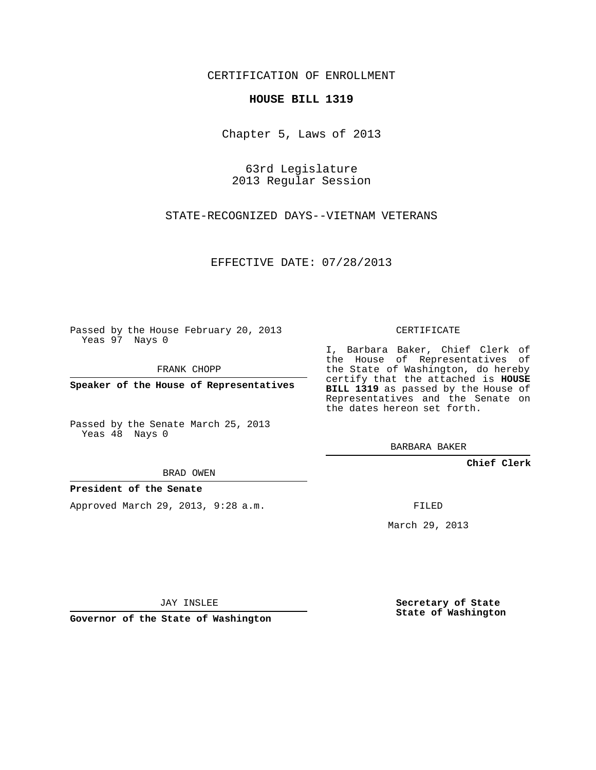CERTIFICATION OF ENROLLMENT

## **HOUSE BILL 1319**

Chapter 5, Laws of 2013

63rd Legislature 2013 Regular Session

STATE-RECOGNIZED DAYS--VIETNAM VETERANS

EFFECTIVE DATE: 07/28/2013

Passed by the House February 20, 2013 Yeas 97 Nays 0

FRANK CHOPP

**Speaker of the House of Representatives**

Passed by the Senate March 25, 2013 Yeas 48 Nays 0

the House of Representatives of the State of Washington, do hereby certify that the attached is **HOUSE BILL 1319** as passed by the House of Representatives and the Senate on the dates hereon set forth.

I, Barbara Baker, Chief Clerk of

BARBARA BAKER

**Chief Clerk**

BRAD OWEN

## **President of the Senate**

Approved March 29, 2013, 9:28 a.m.

FILED

March 29, 2013

**Secretary of State State of Washington**

JAY INSLEE

**Governor of the State of Washington**

CERTIFICATE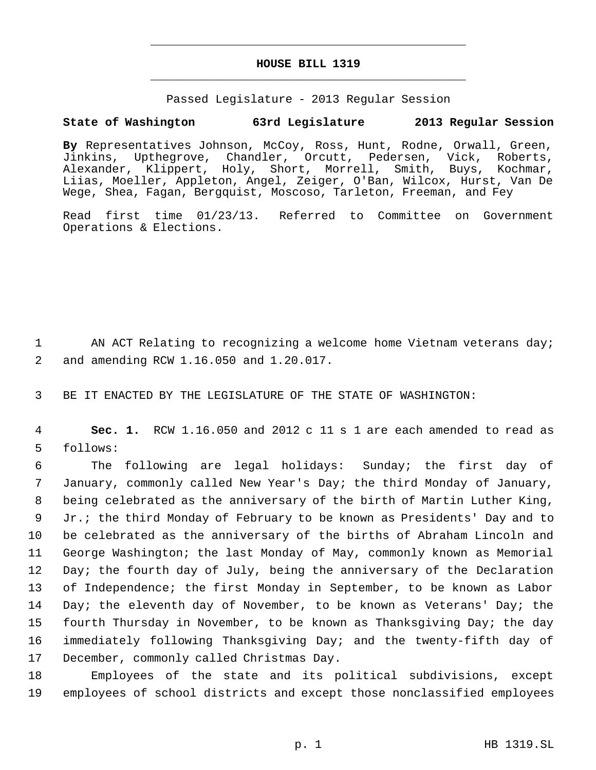## **HOUSE BILL 1319** \_\_\_\_\_\_\_\_\_\_\_\_\_\_\_\_\_\_\_\_\_\_\_\_\_\_\_\_\_\_\_\_\_\_\_\_\_\_\_\_\_\_\_\_\_

\_\_\_\_\_\_\_\_\_\_\_\_\_\_\_\_\_\_\_\_\_\_\_\_\_\_\_\_\_\_\_\_\_\_\_\_\_\_\_\_\_\_\_\_\_

Passed Legislature - 2013 Regular Session

## **State of Washington 63rd Legislature 2013 Regular Session**

**By** Representatives Johnson, McCoy, Ross, Hunt, Rodne, Orwall, Green, Jinkins, Upthegrove, Chandler, Orcutt, Pedersen, Vick, Roberts, Alexander, Klippert, Holy, Short, Morrell, Smith, Buys, Kochmar, Liias, Moeller, Appleton, Angel, Zeiger, O'Ban, Wilcox, Hurst, Van De Wege, Shea, Fagan, Bergquist, Moscoso, Tarleton, Freeman, and Fey

Read first time 01/23/13. Referred to Committee on Government Operations & Elections.

1  $\blacksquare$  AN ACT Relating to recognizing a welcome home Vietnam veterans day; 2 and amending RCW 1.16.050 and 1.20.017.

3 BE IT ENACTED BY THE LEGISLATURE OF THE STATE OF WASHINGTON:

 4 **Sec. 1.** RCW 1.16.050 and 2012 c 11 s 1 are each amended to read as 5 follows:

 The following are legal holidays: Sunday; the first day of January, commonly called New Year's Day; the third Monday of January, being celebrated as the anniversary of the birth of Martin Luther King, Jr.; the third Monday of February to be known as Presidents' Day and to be celebrated as the anniversary of the births of Abraham Lincoln and George Washington; the last Monday of May, commonly known as Memorial 12 Day; the fourth day of July, being the anniversary of the Declaration of Independence; the first Monday in September, to be known as Labor 14 Day; the eleventh day of November, to be known as Veterans' Day; the fourth Thursday in November, to be known as Thanksgiving Day; the day immediately following Thanksgiving Day; and the twenty-fifth day of December, commonly called Christmas Day.

18 Employees of the state and its political subdivisions, except 19 employees of school districts and except those nonclassified employees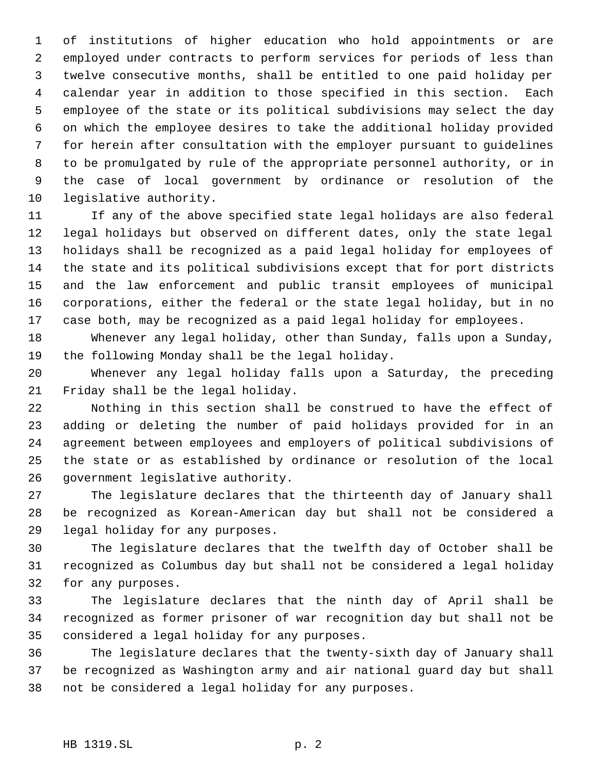of institutions of higher education who hold appointments or are employed under contracts to perform services for periods of less than twelve consecutive months, shall be entitled to one paid holiday per calendar year in addition to those specified in this section. Each employee of the state or its political subdivisions may select the day on which the employee desires to take the additional holiday provided for herein after consultation with the employer pursuant to guidelines to be promulgated by rule of the appropriate personnel authority, or in the case of local government by ordinance or resolution of the legislative authority.

 If any of the above specified state legal holidays are also federal legal holidays but observed on different dates, only the state legal holidays shall be recognized as a paid legal holiday for employees of the state and its political subdivisions except that for port districts and the law enforcement and public transit employees of municipal corporations, either the federal or the state legal holiday, but in no case both, may be recognized as a paid legal holiday for employees.

 Whenever any legal holiday, other than Sunday, falls upon a Sunday, the following Monday shall be the legal holiday.

 Whenever any legal holiday falls upon a Saturday, the preceding Friday shall be the legal holiday.

 Nothing in this section shall be construed to have the effect of adding or deleting the number of paid holidays provided for in an agreement between employees and employers of political subdivisions of the state or as established by ordinance or resolution of the local government legislative authority.

 The legislature declares that the thirteenth day of January shall be recognized as Korean-American day but shall not be considered a legal holiday for any purposes.

 The legislature declares that the twelfth day of October shall be recognized as Columbus day but shall not be considered a legal holiday for any purposes.

 The legislature declares that the ninth day of April shall be recognized as former prisoner of war recognition day but shall not be considered a legal holiday for any purposes.

 The legislature declares that the twenty-sixth day of January shall be recognized as Washington army and air national guard day but shall not be considered a legal holiday for any purposes.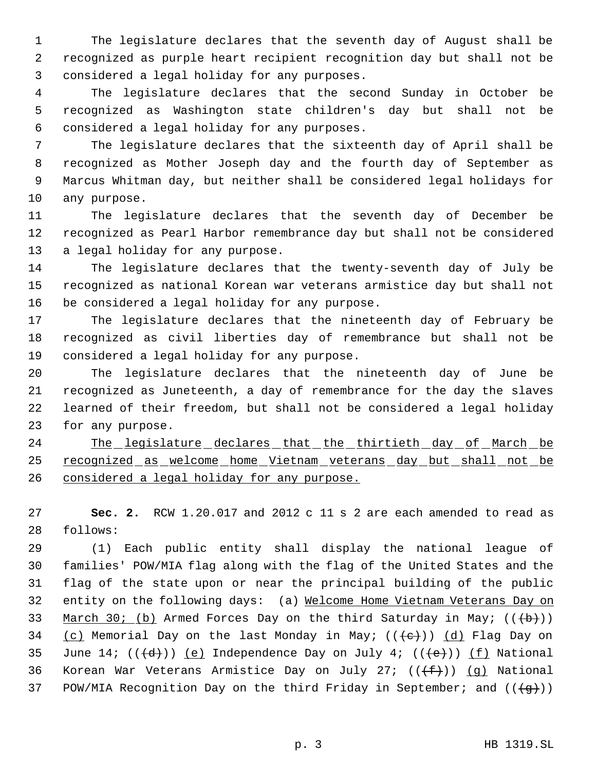The legislature declares that the seventh day of August shall be recognized as purple heart recipient recognition day but shall not be considered a legal holiday for any purposes.

 The legislature declares that the second Sunday in October be recognized as Washington state children's day but shall not be considered a legal holiday for any purposes.

 The legislature declares that the sixteenth day of April shall be recognized as Mother Joseph day and the fourth day of September as Marcus Whitman day, but neither shall be considered legal holidays for any purpose.

 The legislature declares that the seventh day of December be recognized as Pearl Harbor remembrance day but shall not be considered a legal holiday for any purpose.

 The legislature declares that the twenty-seventh day of July be recognized as national Korean war veterans armistice day but shall not be considered a legal holiday for any purpose.

 The legislature declares that the nineteenth day of February be recognized as civil liberties day of remembrance but shall not be considered a legal holiday for any purpose.

 The legislature declares that the nineteenth day of June be recognized as Juneteenth, a day of remembrance for the day the slaves learned of their freedom, but shall not be considered a legal holiday for any purpose.

24 The legislature declares that the thirtieth day of March be recognized as welcome home Vietnam veterans day but shall not be 26 considered a legal holiday for any purpose.

 **Sec. 2.** RCW 1.20.017 and 2012 c 11 s 2 are each amended to read as follows:

 (1) Each public entity shall display the national league of families' POW/MIA flag along with the flag of the United States and the flag of the state upon or near the principal building of the public 32 entity on the following days: (a) Welcome Home Vietnam Veterans Day on 33 March 30; (b) Armed Forces Day on the third Saturday in May;  $((+b))$ 34 (c) Memorial Day on the last Monday in May;  $((e+))$  (d) Flag Day on 35 June 14;  $((+d))$   $(e)$  Independence Day on July 4;  $((+e))$   $(f)$  National 36 Korean War Veterans Armistice Day on July 27;  $((\text{+f})^2)$  (g) National 37 POW/MIA Recognition Day on the third Friday in September; and  $((\{g\})$ )